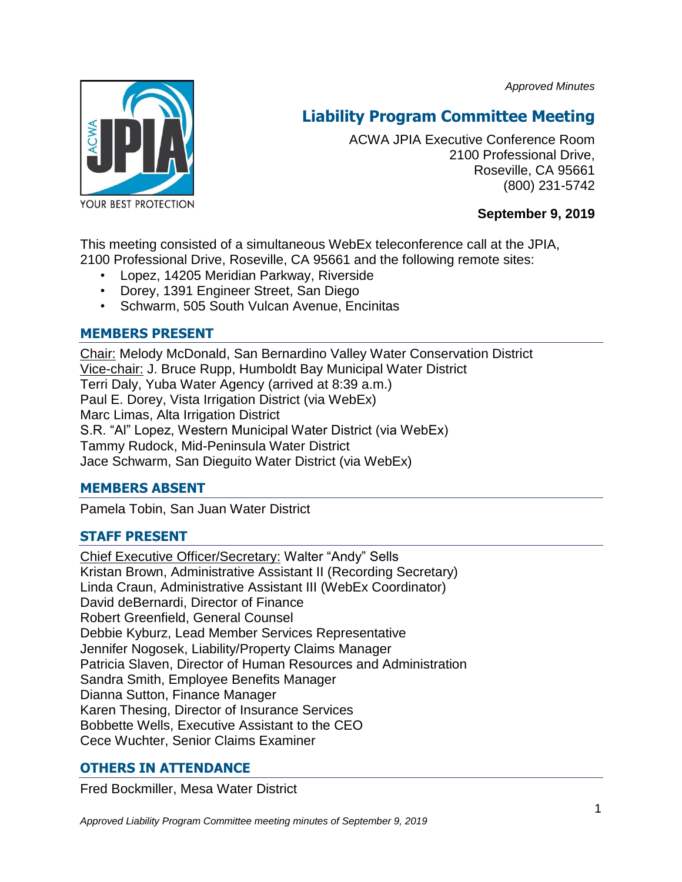*Approved Minutes*



# **Liability Program Committee Meeting**

ACWA JPIA Executive Conference Room 2100 Professional Drive, Roseville, CA 95661 (800) 231-5742

# **September 9, 2019**

This meeting consisted of a simultaneous WebEx teleconference call at the JPIA, 2100 Professional Drive, Roseville, CA 95661 and the following remote sites:

- Lopez, 14205 Meridian Parkway, Riverside
- Dorey, 1391 Engineer Street, San Diego
- Schwarm, 505 South Vulcan Avenue, Encinitas

# **MEMBERS PRESENT**

Chair: Melody McDonald, San Bernardino Valley Water Conservation District Vice-chair: J. Bruce Rupp, Humboldt Bay Municipal Water District Terri Daly, Yuba Water Agency (arrived at 8:39 a.m.) Paul E. Dorey, Vista Irrigation District (via WebEx) Marc Limas, Alta Irrigation District S.R. "Al" Lopez, Western Municipal Water District (via WebEx) Tammy Rudock, Mid-Peninsula Water District Jace Schwarm, San Dieguito Water District (via WebEx)

# **MEMBERS ABSENT**

Pamela Tobin, San Juan Water District

# **STAFF PRESENT**

Chief Executive Officer/Secretary: Walter "Andy" Sells Kristan Brown, Administrative Assistant II (Recording Secretary) Linda Craun, Administrative Assistant III (WebEx Coordinator) David deBernardi, Director of Finance Robert Greenfield, General Counsel Debbie Kyburz, Lead Member Services Representative Jennifer Nogosek, Liability/Property Claims Manager Patricia Slaven, Director of Human Resources and Administration Sandra Smith, Employee Benefits Manager Dianna Sutton, Finance Manager Karen Thesing, Director of Insurance Services Bobbette Wells, Executive Assistant to the CEO Cece Wuchter, Senior Claims Examiner

# **OTHERS IN ATTENDANCE**

Fred Bockmiller, Mesa Water District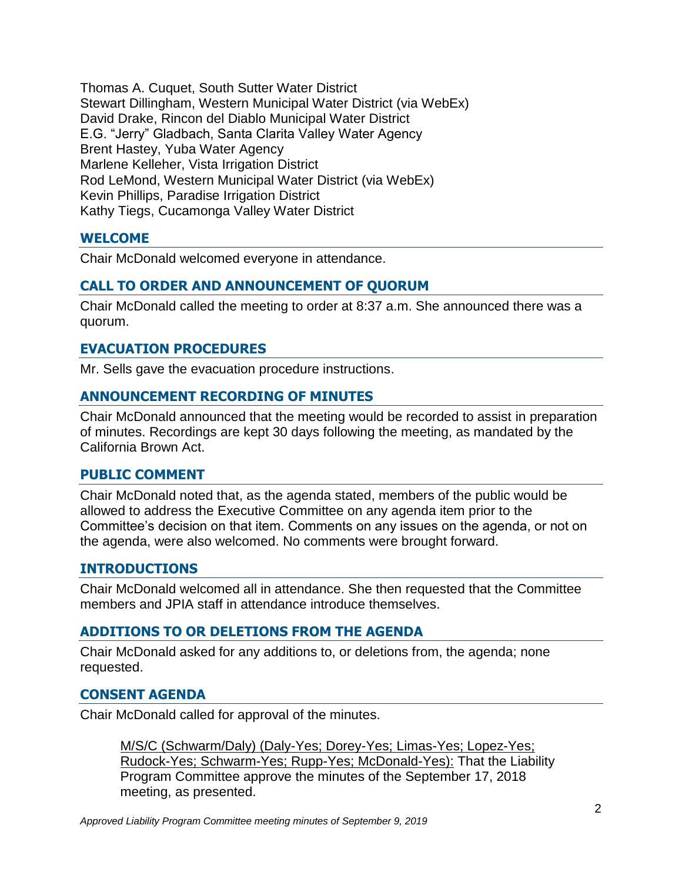Thomas A. Cuquet, South Sutter Water District Stewart Dillingham, Western Municipal Water District (via WebEx) David Drake, Rincon del Diablo Municipal Water District E.G. "Jerry" Gladbach, Santa Clarita Valley Water Agency Brent Hastey, Yuba Water Agency Marlene Kelleher, Vista Irrigation District Rod LeMond, Western Municipal Water District (via WebEx) Kevin Phillips, Paradise Irrigation District Kathy Tiegs, Cucamonga Valley Water District

## **WELCOME**

Chair McDonald welcomed everyone in attendance.

## **CALL TO ORDER AND ANNOUNCEMENT OF QUORUM**

Chair McDonald called the meeting to order at 8:37 a.m. She announced there was a quorum.

## **EVACUATION PROCEDURES**

Mr. Sells gave the evacuation procedure instructions.

## **ANNOUNCEMENT RECORDING OF MINUTES**

Chair McDonald announced that the meeting would be recorded to assist in preparation of minutes. Recordings are kept 30 days following the meeting, as mandated by the California Brown Act.

#### **PUBLIC COMMENT**

Chair McDonald noted that, as the agenda stated, members of the public would be allowed to address the Executive Committee on any agenda item prior to the Committee's decision on that item. Comments on any issues on the agenda, or not on the agenda, were also welcomed. No comments were brought forward.

## **INTRODUCTIONS**

Chair McDonald welcomed all in attendance. She then requested that the Committee members and JPIA staff in attendance introduce themselves.

## **ADDITIONS TO OR DELETIONS FROM THE AGENDA**

Chair McDonald asked for any additions to, or deletions from, the agenda; none requested.

## **CONSENT AGENDA**

Chair McDonald called for approval of the minutes.

M/S/C (Schwarm/Daly) (Daly-Yes; Dorey-Yes; Limas-Yes; Lopez-Yes; Rudock-Yes; Schwarm-Yes; Rupp-Yes; McDonald-Yes): That the Liability Program Committee approve the minutes of the September 17, 2018 meeting, as presented.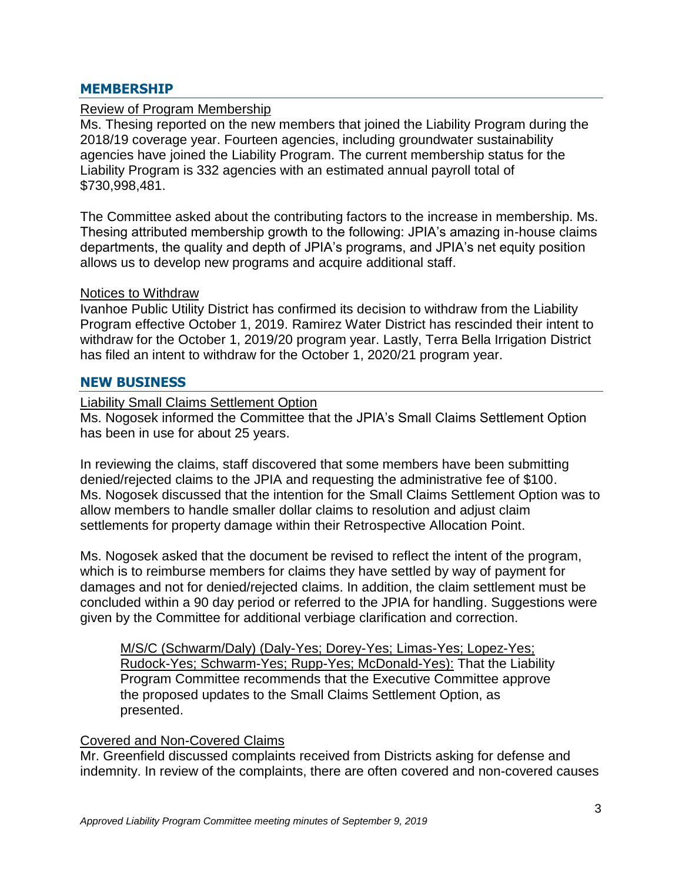#### **MEMBERSHIP**

#### Review of Program Membership

Ms. Thesing reported on the new members that joined the Liability Program during the 2018/19 coverage year. Fourteen agencies, including groundwater sustainability agencies have joined the Liability Program. The current membership status for the Liability Program is 332 agencies with an estimated annual payroll total of \$730,998,481.

The Committee asked about the contributing factors to the increase in membership. Ms. Thesing attributed membership growth to the following: JPIA's amazing in-house claims departments, the quality and depth of JPIA's programs, and JPIA's net equity position allows us to develop new programs and acquire additional staff.

#### Notices to Withdraw

Ivanhoe Public Utility District has confirmed its decision to withdraw from the Liability Program effective October 1, 2019. Ramirez Water District has rescinded their intent to withdraw for the October 1, 2019/20 program year. Lastly, Terra Bella Irrigation District has filed an intent to withdraw for the October 1, 2020/21 program year.

#### **NEW BUSINESS**

Liability Small Claims Settlement Option Ms. Nogosek informed the Committee that the JPIA's Small Claims Settlement Option has been in use for about 25 years.

In reviewing the claims, staff discovered that some members have been submitting denied/rejected claims to the JPIA and requesting the administrative fee of \$100. Ms. Nogosek discussed that the intention for the Small Claims Settlement Option was to allow members to handle smaller dollar claims to resolution and adjust claim settlements for property damage within their Retrospective Allocation Point.

Ms. Nogosek asked that the document be revised to reflect the intent of the program, which is to reimburse members for claims they have settled by way of payment for damages and not for denied/rejected claims. In addition, the claim settlement must be concluded within a 90 day period or referred to the JPIA for handling. Suggestions were given by the Committee for additional verbiage clarification and correction.

M/S/C (Schwarm/Daly) (Daly-Yes; Dorey-Yes; Limas-Yes; Lopez-Yes; Rudock-Yes; Schwarm-Yes; Rupp-Yes; McDonald-Yes): That the Liability Program Committee recommends that the Executive Committee approve the proposed updates to the Small Claims Settlement Option, as presented.

#### Covered and Non-Covered Claims

Mr. Greenfield discussed complaints received from Districts asking for defense and indemnity. In review of the complaints, there are often covered and non-covered causes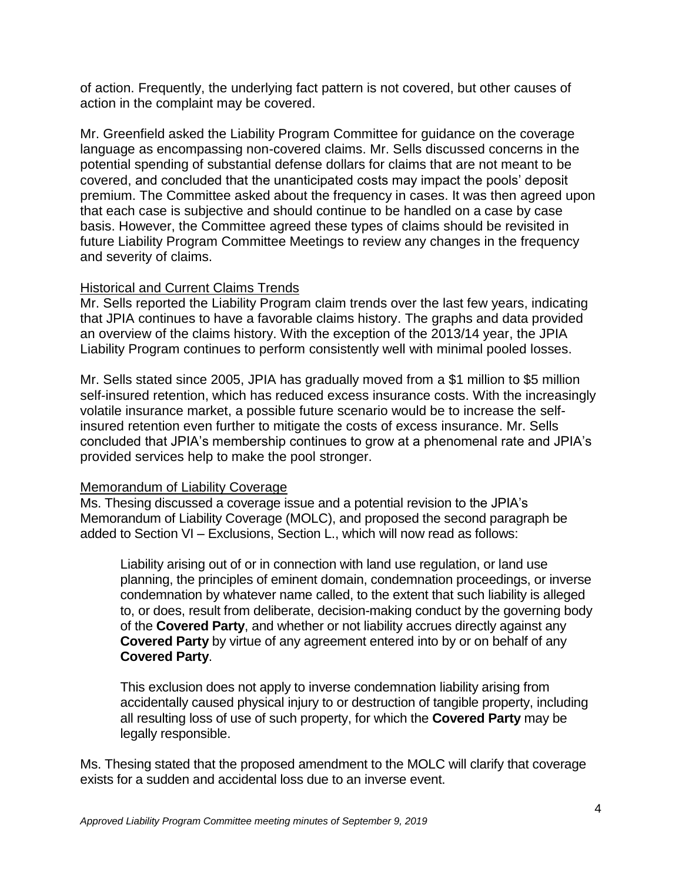of action. Frequently, the underlying fact pattern is not covered, but other causes of action in the complaint may be covered.

Mr. Greenfield asked the Liability Program Committee for guidance on the coverage language as encompassing non-covered claims. Mr. Sells discussed concerns in the potential spending of substantial defense dollars for claims that are not meant to be covered, and concluded that the unanticipated costs may impact the pools' deposit premium. The Committee asked about the frequency in cases. It was then agreed upon that each case is subjective and should continue to be handled on a case by case basis. However, the Committee agreed these types of claims should be revisited in future Liability Program Committee Meetings to review any changes in the frequency and severity of claims.

# Historical and Current Claims Trends

Mr. Sells reported the Liability Program claim trends over the last few years, indicating that JPIA continues to have a favorable claims history. The graphs and data provided an overview of the claims history. With the exception of the 2013/14 year, the JPIA Liability Program continues to perform consistently well with minimal pooled losses.

Mr. Sells stated since 2005, JPIA has gradually moved from a \$1 million to \$5 million self-insured retention, which has reduced excess insurance costs. With the increasingly volatile insurance market, a possible future scenario would be to increase the selfinsured retention even further to mitigate the costs of excess insurance. Mr. Sells concluded that JPIA's membership continues to grow at a phenomenal rate and JPIA's provided services help to make the pool stronger.

## Memorandum of Liability Coverage

Ms. Thesing discussed a coverage issue and a potential revision to the JPIA's Memorandum of Liability Coverage (MOLC), and proposed the second paragraph be added to Section VI – Exclusions, Section L., which will now read as follows:

Liability arising out of or in connection with land use regulation, or land use planning, the principles of eminent domain, condemnation proceedings, or inverse condemnation by whatever name called, to the extent that such liability is alleged to, or does, result from deliberate, decision-making conduct by the governing body of the **Covered Party**, and whether or not liability accrues directly against any **Covered Party** by virtue of any agreement entered into by or on behalf of any **Covered Party**.

This exclusion does not apply to inverse condemnation liability arising from accidentally caused physical injury to or destruction of tangible property, including all resulting loss of use of such property, for which the **Covered Party** may be legally responsible.

Ms. Thesing stated that the proposed amendment to the MOLC will clarify that coverage exists for a sudden and accidental loss due to an inverse event.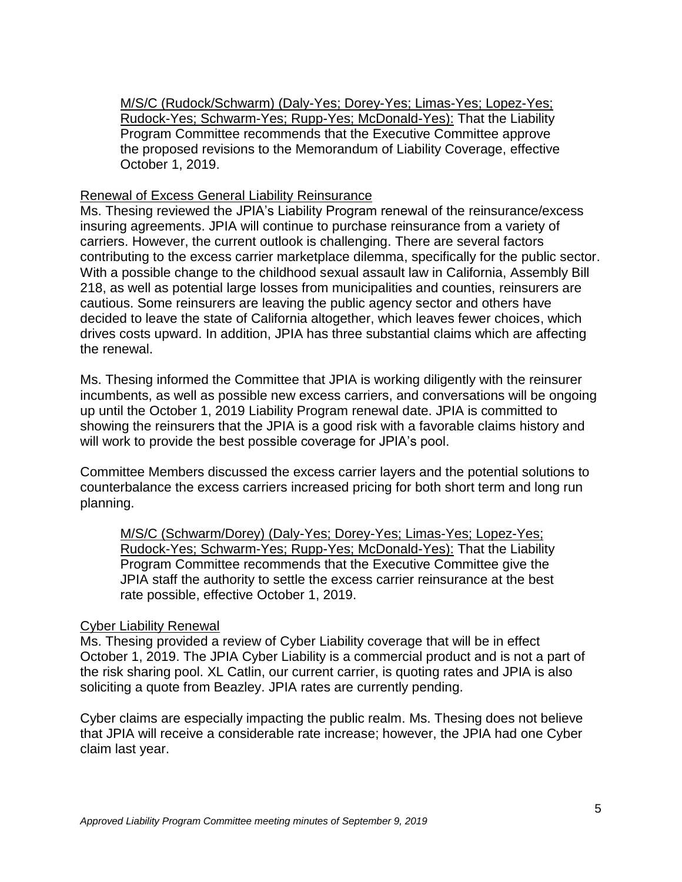M/S/C (Rudock/Schwarm) (Daly-Yes; Dorey-Yes; Limas-Yes; Lopez-Yes; Rudock-Yes; Schwarm-Yes; Rupp-Yes; McDonald-Yes): That the Liability Program Committee recommends that the Executive Committee approve the proposed revisions to the Memorandum of Liability Coverage, effective October 1, 2019.

#### Renewal of Excess General Liability Reinsurance

Ms. Thesing reviewed the JPIA's Liability Program renewal of the reinsurance/excess insuring agreements. JPIA will continue to purchase reinsurance from a variety of carriers. However, the current outlook is challenging. There are several factors contributing to the excess carrier marketplace dilemma, specifically for the public sector. With a possible change to the childhood sexual assault law in California, Assembly Bill 218, as well as potential large losses from municipalities and counties, reinsurers are cautious. Some reinsurers are leaving the public agency sector and others have decided to leave the state of California altogether, which leaves fewer choices, which drives costs upward. In addition, JPIA has three substantial claims which are affecting the renewal.

Ms. Thesing informed the Committee that JPIA is working diligently with the reinsurer incumbents, as well as possible new excess carriers, and conversations will be ongoing up until the October 1, 2019 Liability Program renewal date. JPIA is committed to showing the reinsurers that the JPIA is a good risk with a favorable claims history and will work to provide the best possible coverage for JPIA's pool.

Committee Members discussed the excess carrier layers and the potential solutions to counterbalance the excess carriers increased pricing for both short term and long run planning.

M/S/C (Schwarm/Dorey) (Daly-Yes; Dorey-Yes; Limas-Yes; Lopez-Yes; Rudock-Yes; Schwarm-Yes; Rupp-Yes; McDonald-Yes): That the Liability Program Committee recommends that the Executive Committee give the JPIA staff the authority to settle the excess carrier reinsurance at the best rate possible, effective October 1, 2019.

#### Cyber Liability Renewal

Ms. Thesing provided a review of Cyber Liability coverage that will be in effect October 1, 2019. The JPIA Cyber Liability is a commercial product and is not a part of the risk sharing pool. XL Catlin, our current carrier, is quoting rates and JPIA is also soliciting a quote from Beazley. JPIA rates are currently pending.

Cyber claims are especially impacting the public realm. Ms. Thesing does not believe that JPIA will receive a considerable rate increase; however, the JPIA had one Cyber claim last year.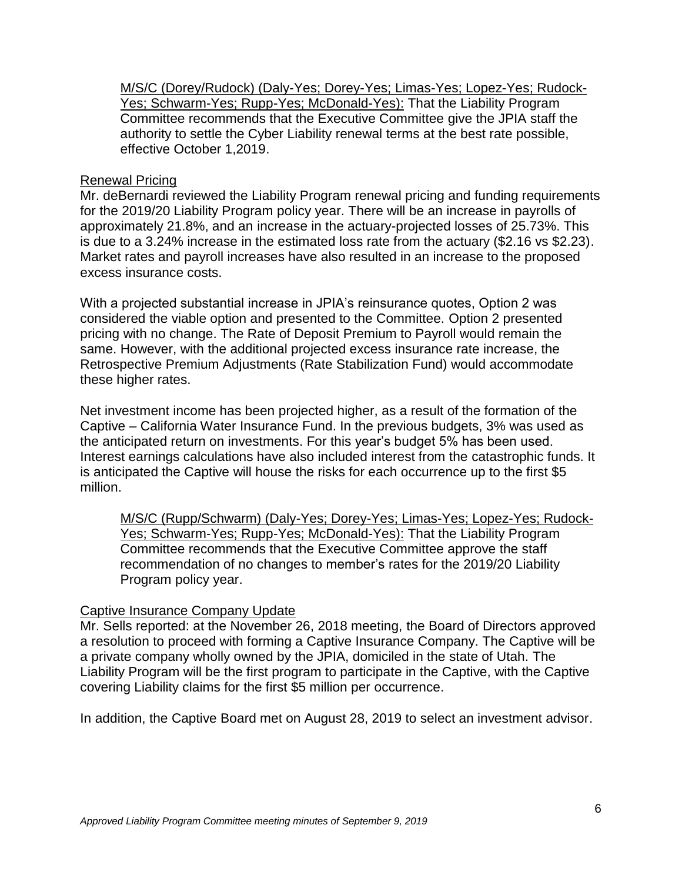M/S/C (Dorey/Rudock) (Daly-Yes; Dorey-Yes; Limas-Yes; Lopez-Yes; Rudock-Yes; Schwarm-Yes; Rupp-Yes; McDonald-Yes): That the Liability Program Committee recommends that the Executive Committee give the JPIA staff the authority to settle the Cyber Liability renewal terms at the best rate possible, effective October 1,2019.

## Renewal Pricing

Mr. deBernardi reviewed the Liability Program renewal pricing and funding requirements for the 2019/20 Liability Program policy year. There will be an increase in payrolls of approximately 21.8%, and an increase in the actuary-projected losses of 25.73%. This is due to a 3.24% increase in the estimated loss rate from the actuary (\$2.16 vs \$2.23). Market rates and payroll increases have also resulted in an increase to the proposed excess insurance costs.

With a projected substantial increase in JPIA's reinsurance quotes, Option 2 was considered the viable option and presented to the Committee. Option 2 presented pricing with no change. The Rate of Deposit Premium to Payroll would remain the same. However, with the additional projected excess insurance rate increase, the Retrospective Premium Adjustments (Rate Stabilization Fund) would accommodate these higher rates.

Net investment income has been projected higher, as a result of the formation of the Captive – California Water Insurance Fund. In the previous budgets, 3% was used as the anticipated return on investments. For this year's budget 5% has been used. Interest earnings calculations have also included interest from the catastrophic funds. It is anticipated the Captive will house the risks for each occurrence up to the first \$5 million.

M/S/C (Rupp/Schwarm) (Daly-Yes; Dorey-Yes; Limas-Yes; Lopez-Yes; Rudock-Yes; Schwarm-Yes; Rupp-Yes; McDonald-Yes): That the Liability Program Committee recommends that the Executive Committee approve the staff recommendation of no changes to member's rates for the 2019/20 Liability Program policy year.

## Captive Insurance Company Update

Mr. Sells reported: at the November 26, 2018 meeting, the Board of Directors approved a resolution to proceed with forming a Captive Insurance Company. The Captive will be a private company wholly owned by the JPIA, domiciled in the state of Utah. The Liability Program will be the first program to participate in the Captive, with the Captive covering Liability claims for the first \$5 million per occurrence.

In addition, the Captive Board met on August 28, 2019 to select an investment advisor.